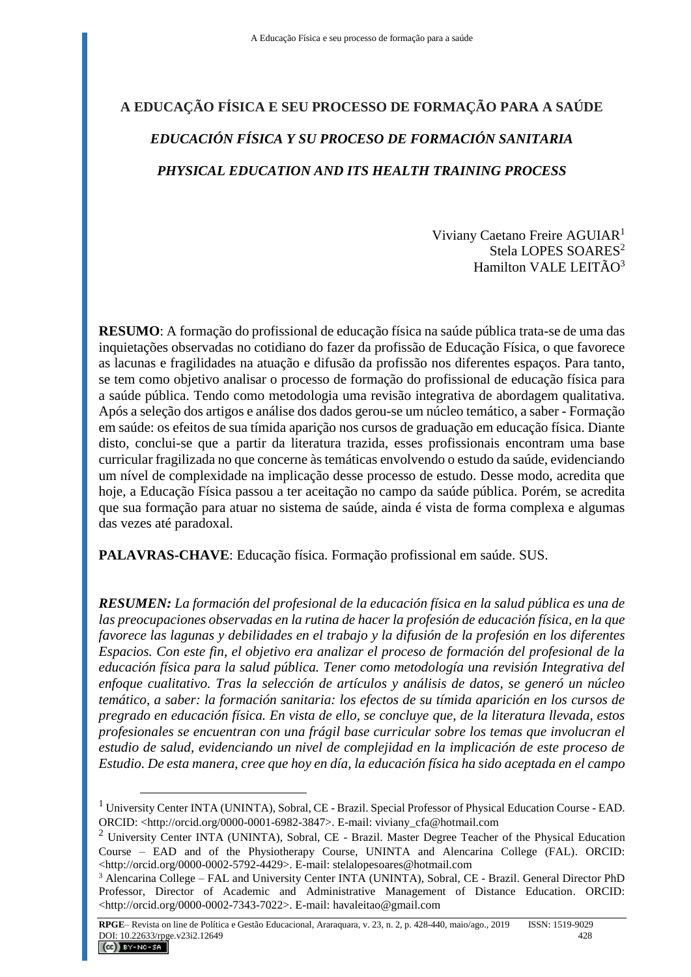# **A EDUCAÇÃO FÍSICA E SEU PROCESSO DE FORMAÇÃO PARA A SAÚDE** *EDUCACIÓN FÍSICA Y SU PROCESO DE FORMACIÓN SANITARIA PHYSICAL EDUCATION AND ITS HEALTH TRAINING PROCESS*

Viviany Caetano Freire AGUIAR<sup>1</sup> Stela LOPES SOARES<sup>2</sup> Hamilton VALE LEITÃO<sup>3</sup>

**RESUMO**: A formação do profissional de educação física na saúde pública trata-se de uma das inquietações observadas no cotidiano do fazer da profissão de Educação Física, o que favorece as lacunas e fragilidades na atuação e difusão da profissão nos diferentes espaços. Para tanto, se tem como objetivo analisar o processo de formação do profissional de educação física para a saúde pública. Tendo como metodologia uma revisão integrativa de abordagem qualitativa. Após a seleção dos artigos e análise dos dados gerou-se um núcleo temático, a saber - Formação em saúde: os efeitos de sua tímida aparição nos cursos de graduação em educação física. Diante disto, conclui-se que a partir da literatura trazida, esses profissionais encontram uma base curricular fragilizada no que concerne às temáticas envolvendo o estudo da saúde, evidenciando um nível de complexidade na implicação desse processo de estudo. Desse modo, acredita que hoje, a Educação Física passou a ter aceitação no campo da saúde pública. Porém, se acredita que sua formação para atuar no sistema de saúde, ainda é vista de forma complexa e algumas das vezes até paradoxal.

**PALAVRAS-CHAVE**: Educação física. Formação profissional em saúde. SUS.

*RESUMEN: La formación del profesional de la educación física en la salud pública es una de las preocupaciones observadas en la rutina de hacer la profesión de educación física, en la que favorece las lagunas y debilidades en el trabajo y la difusión de la profesión en los diferentes Espacios. Con este fin, el objetivo era analizar el proceso de formación del profesional de la educación física para la salud pública. Tener como metodología una revisión Integrativa del enfoque cualitativo. Tras la selección de artículos y análisis de datos, se generó un núcleo temático, a saber: la formación sanitaria: los efectos de su tímida aparición en los cursos de pregrado en educación física. En vista de ello, se concluye que, de la literatura llevada, estos profesionales se encuentran con una frágil base curricular sobre los temas que involucran el estudio de salud, evidenciando un nivel de complejidad en la implicación de este proceso de Estudio. De esta manera, cree que hoy en día, la educación física ha sido aceptada en el campo* 

 $\overline{a}$ 

<sup>1</sup> University Center INTA (UNINTA), Sobral, CE - Brazil. Special Professor of Physical Education Course - EAD. ORCID: <http://orcid.org/0000-0001-6982-3847>. E-mail: viviany\_cfa@hotmail.com

<sup>&</sup>lt;sup>2</sup> University Center INTA (UNINTA), Sobral, CE - Brazil. Master Degree Teacher of the Physical Education Course – EAD and of the Physiotherapy Course, UNINTA and Alencarina College (FAL). ORCID: <http://orcid.org/0000-0002-5792-4429>. E-mail: stelalopesoares@hotmail.com

<sup>3</sup> Alencarina College – FAL and University Center INTA (UNINTA), Sobral, CE - Brazil. General Director PhD Professor, Director of Academic and Administrative Management of Distance Education. ORCID: <http://orcid.org/0000-0002-7343-7022>. E-mail: havaleitao@gmail.com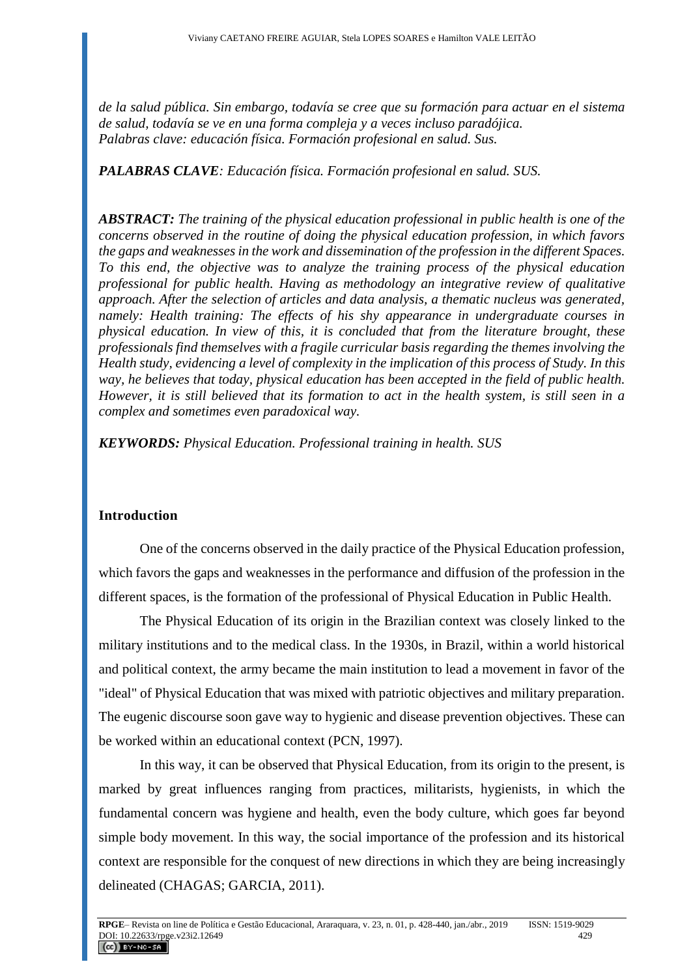*de la salud pública. Sin embargo, todavía se cree que su formación para actuar en el sistema de salud, todavía se ve en una forma compleja y a veces incluso paradójica. Palabras clave: educación física. Formación profesional en salud. Sus.*

*PALABRAS CLAVE: Educación física. Formación profesional en salud. SUS.*

*ABSTRACT: The training of the physical education professional in public health is one of the concerns observed in the routine of doing the physical education profession, in which favors the gaps and weaknesses in the work and dissemination of the profession in the different Spaces. To this end, the objective was to analyze the training process of the physical education professional for public health. Having as methodology an integrative review of qualitative approach. After the selection of articles and data analysis, a thematic nucleus was generated, namely: Health training: The effects of his shy appearance in undergraduate courses in physical education. In view of this, it is concluded that from the literature brought, these professionals find themselves with a fragile curricular basis regarding the themes involving the Health study, evidencing a level of complexity in the implication of this process of Study. In this way, he believes that today, physical education has been accepted in the field of public health. However, it is still believed that its formation to act in the health system, is still seen in a complex and sometimes even paradoxical way.*

*KEYWORDS: Physical Education. Professional training in health. SUS*

# **Introduction**

One of the concerns observed in the daily practice of the Physical Education profession, which favors the gaps and weaknesses in the performance and diffusion of the profession in the different spaces, is the formation of the professional of Physical Education in Public Health.

The Physical Education of its origin in the Brazilian context was closely linked to the military institutions and to the medical class. In the 1930s, in Brazil, within a world historical and political context, the army became the main institution to lead a movement in favor of the "ideal" of Physical Education that was mixed with patriotic objectives and military preparation. The eugenic discourse soon gave way to hygienic and disease prevention objectives. These can be worked within an educational context (PCN, 1997).

In this way, it can be observed that Physical Education, from its origin to the present, is marked by great influences ranging from practices, militarists, hygienists, in which the fundamental concern was hygiene and health, even the body culture, which goes far beyond simple body movement. In this way, the social importance of the profession and its historical context are responsible for the conquest of new directions in which they are being increasingly delineated (CHAGAS; GARCIA, 2011).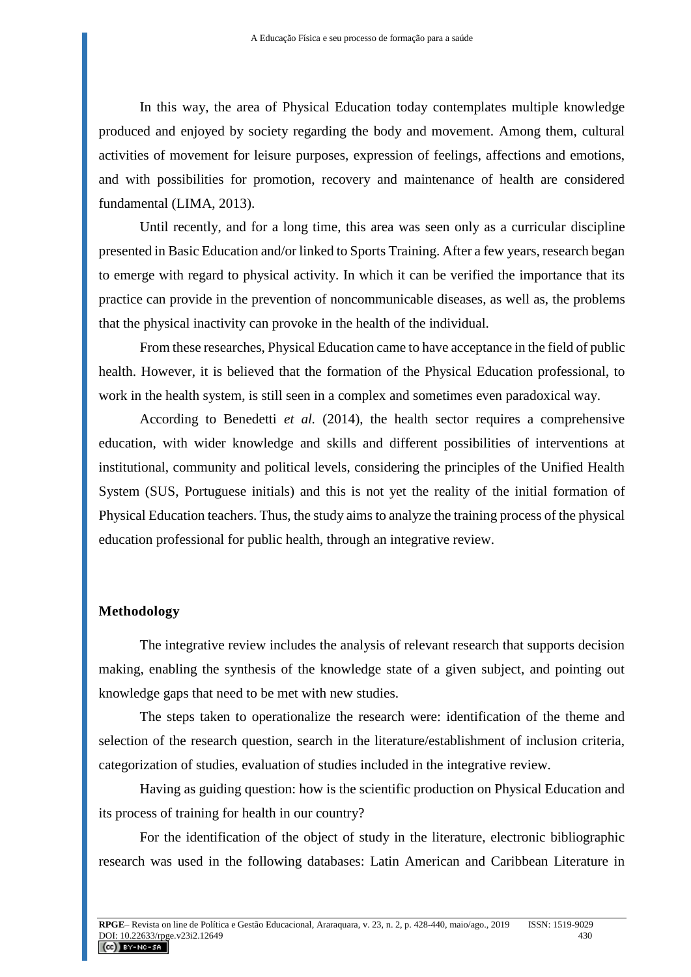In this way, the area of Physical Education today contemplates multiple knowledge produced and enjoyed by society regarding the body and movement. Among them, cultural activities of movement for leisure purposes, expression of feelings, affections and emotions, and with possibilities for promotion, recovery and maintenance of health are considered fundamental (LIMA, 2013).

Until recently, and for a long time, this area was seen only as a curricular discipline presented in Basic Education and/or linked to Sports Training. After a few years, research began to emerge with regard to physical activity. In which it can be verified the importance that its practice can provide in the prevention of noncommunicable diseases, as well as, the problems that the physical inactivity can provoke in the health of the individual.

From these researches, Physical Education came to have acceptance in the field of public health. However, it is believed that the formation of the Physical Education professional, to work in the health system, is still seen in a complex and sometimes even paradoxical way.

According to Benedetti *et al.* (2014), the health sector requires a comprehensive education, with wider knowledge and skills and different possibilities of interventions at institutional, community and political levels, considering the principles of the Unified Health System (SUS, Portuguese initials) and this is not yet the reality of the initial formation of Physical Education teachers. Thus, the study aims to analyze the training process of the physical education professional for public health, through an integrative review.

#### **Methodology**

The integrative review includes the analysis of relevant research that supports decision making, enabling the synthesis of the knowledge state of a given subject, and pointing out knowledge gaps that need to be met with new studies.

The steps taken to operationalize the research were: identification of the theme and selection of the research question, search in the literature/establishment of inclusion criteria, categorization of studies, evaluation of studies included in the integrative review.

Having as guiding question: how is the scientific production on Physical Education and its process of training for health in our country?

For the identification of the object of study in the literature, electronic bibliographic research was used in the following databases: Latin American and Caribbean Literature in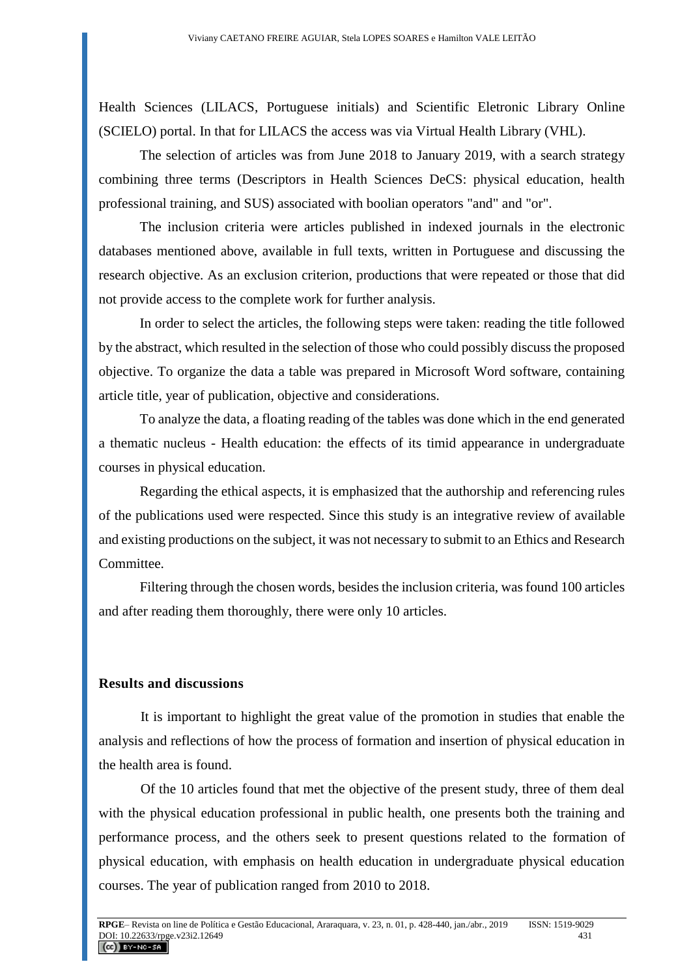Health Sciences (LILACS, Portuguese initials) and Scientific Eletronic Library Online (SCIELO) portal. In that for LILACS the access was via Virtual Health Library (VHL).

The selection of articles was from June 2018 to January 2019, with a search strategy combining three terms (Descriptors in Health Sciences DeCS: physical education, health professional training, and SUS) associated with boolian operators "and" and "or".

The inclusion criteria were articles published in indexed journals in the electronic databases mentioned above, available in full texts, written in Portuguese and discussing the research objective. As an exclusion criterion, productions that were repeated or those that did not provide access to the complete work for further analysis.

In order to select the articles, the following steps were taken: reading the title followed by the abstract, which resulted in the selection of those who could possibly discuss the proposed objective. To organize the data a table was prepared in Microsoft Word software, containing article title, year of publication, objective and considerations.

To analyze the data, a floating reading of the tables was done which in the end generated a thematic nucleus - Health education: the effects of its timid appearance in undergraduate courses in physical education.

Regarding the ethical aspects, it is emphasized that the authorship and referencing rules of the publications used were respected. Since this study is an integrative review of available and existing productions on the subject, it was not necessary to submit to an Ethics and Research Committee.

Filtering through the chosen words, besides the inclusion criteria, was found 100 articles and after reading them thoroughly, there were only 10 articles.

# **Results and discussions**

It is important to highlight the great value of the promotion in studies that enable the analysis and reflections of how the process of formation and insertion of physical education in the health area is found.

Of the 10 articles found that met the objective of the present study, three of them deal with the physical education professional in public health, one presents both the training and performance process, and the others seek to present questions related to the formation of physical education, with emphasis on health education in undergraduate physical education courses. The year of publication ranged from 2010 to 2018.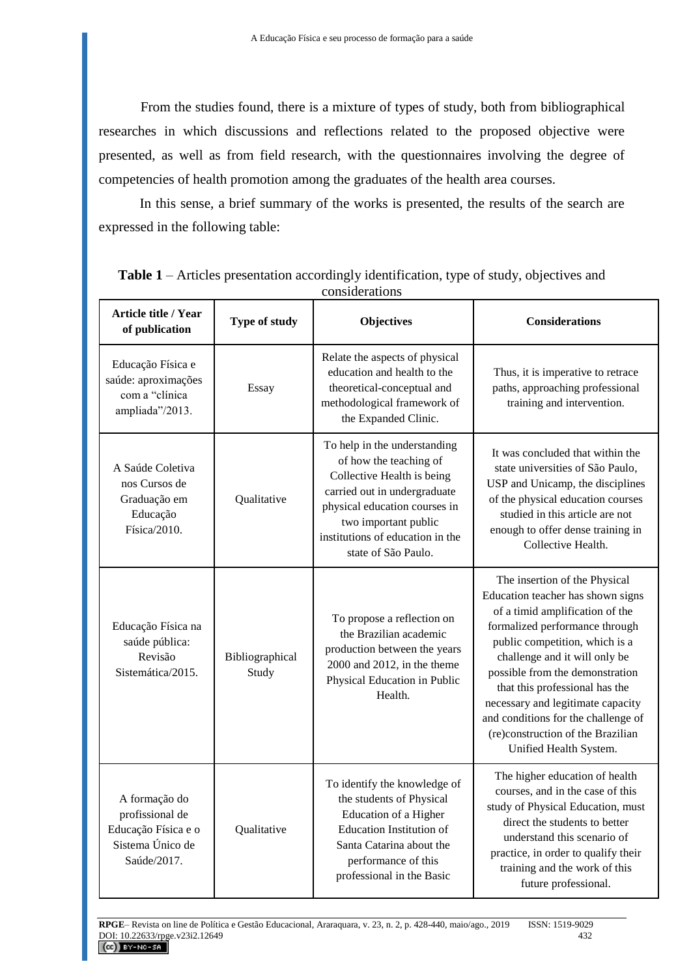From the studies found, there is a mixture of types of study, both from bibliographical researches in which discussions and reflections related to the proposed objective were presented, as well as from field research, with the questionnaires involving the degree of competencies of health promotion among the graduates of the health area courses.

In this sense, a brief summary of the works is presented, the results of the search are expressed in the following table:

| <b>Article title / Year</b><br>of publication                                              | Type of study            | <b>Objectives</b>                                                                                                                                                                                                                        | <b>Considerations</b>                                                                                                                                                                                                                                                                                                                                                                                                      |
|--------------------------------------------------------------------------------------------|--------------------------|------------------------------------------------------------------------------------------------------------------------------------------------------------------------------------------------------------------------------------------|----------------------------------------------------------------------------------------------------------------------------------------------------------------------------------------------------------------------------------------------------------------------------------------------------------------------------------------------------------------------------------------------------------------------------|
| Educação Física e<br>saúde: aproximações<br>com a "clínica<br>ampliada"/2013.              | Essay                    | Relate the aspects of physical<br>education and health to the<br>theoretical-conceptual and<br>methodological framework of<br>the Expanded Clinic.                                                                                       | Thus, it is imperative to retrace<br>paths, approaching professional<br>training and intervention.                                                                                                                                                                                                                                                                                                                         |
| A Saúde Coletiva<br>nos Cursos de<br>Graduação em<br>Educação<br>Física/2010.              | Qualitative              | To help in the understanding<br>of how the teaching of<br>Collective Health is being<br>carried out in undergraduate<br>physical education courses in<br>two important public<br>institutions of education in the<br>state of São Paulo. | It was concluded that within the<br>state universities of São Paulo,<br>USP and Unicamp, the disciplines<br>of the physical education courses<br>studied in this article are not<br>enough to offer dense training in<br>Collective Health.                                                                                                                                                                                |
| Educação Física na<br>saúde pública:<br>Revisão<br>Sistemática/2015.                       | Bibliographical<br>Study | To propose a reflection on<br>the Brazilian academic<br>production between the years<br>2000 and 2012, in the theme<br>Physical Education in Public<br>Health.                                                                           | The insertion of the Physical<br>Education teacher has shown signs<br>of a timid amplification of the<br>formalized performance through<br>public competition, which is a<br>challenge and it will only be<br>possible from the demonstration<br>that this professional has the<br>necessary and legitimate capacity<br>and conditions for the challenge of<br>(re)construction of the Brazilian<br>Unified Health System. |
| A formação do<br>profissional de<br>Educação Física e o<br>Sistema Único de<br>Saúde/2017. | Qualitative              | To identify the knowledge of<br>the students of Physical<br>Education of a Higher<br><b>Education Institution of</b><br>Santa Catarina about the<br>performance of this<br>professional in the Basic                                     | The higher education of health<br>courses, and in the case of this<br>study of Physical Education, must<br>direct the students to better<br>understand this scenario of<br>practice, in order to qualify their<br>training and the work of this<br>future professional.                                                                                                                                                    |

**Table 1** – Articles presentation accordingly identification, type of study, objectives and considerations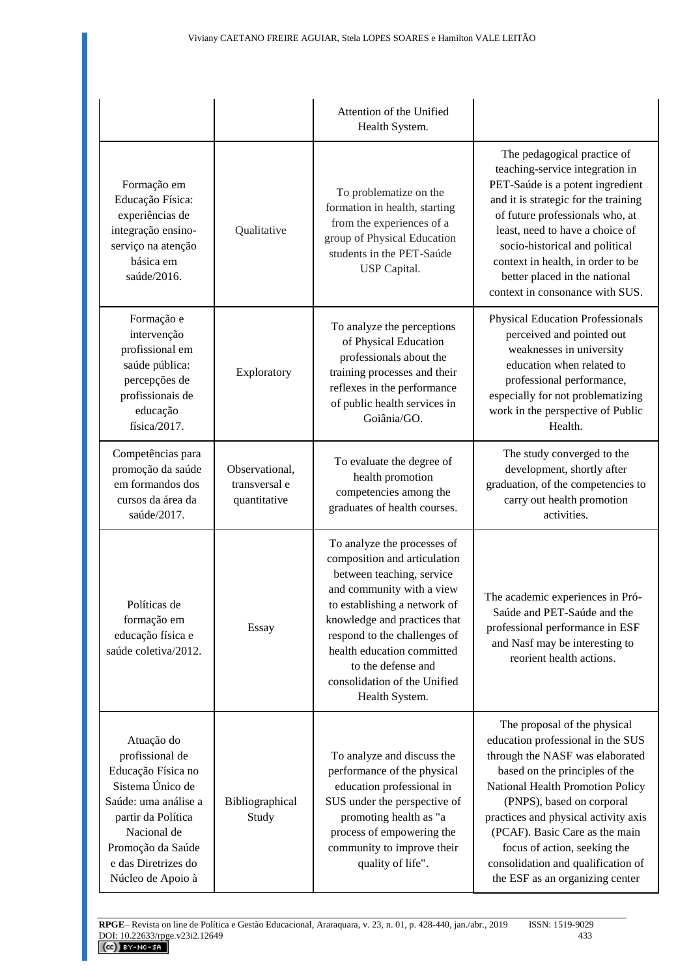|                                                                                                                                                                                                       |                                                 | Attention of the Unified<br>Health System.                                                                                                                                                                                                                                                                                  |                                                                                                                                                                                                                                                                                                                                                                                            |
|-------------------------------------------------------------------------------------------------------------------------------------------------------------------------------------------------------|-------------------------------------------------|-----------------------------------------------------------------------------------------------------------------------------------------------------------------------------------------------------------------------------------------------------------------------------------------------------------------------------|--------------------------------------------------------------------------------------------------------------------------------------------------------------------------------------------------------------------------------------------------------------------------------------------------------------------------------------------------------------------------------------------|
| Formação em<br>Educação Física:<br>experiências de<br>integração ensino-<br>serviço na atenção<br>básica em<br>saúde/2016.                                                                            | Qualitative                                     | To problematize on the<br>formation in health, starting<br>from the experiences of a<br>group of Physical Education<br>students in the PET-Saúde<br>USP Capital.                                                                                                                                                            | The pedagogical practice of<br>teaching-service integration in<br>PET-Saúde is a potent ingredient<br>and it is strategic for the training<br>of future professionals who, at<br>least, need to have a choice of<br>socio-historical and political<br>context in health, in order to be<br>better placed in the national<br>context in consonance with SUS.                                |
| Formação e<br>intervenção<br>profissional em<br>saúde pública:<br>percepções de<br>profissionais de<br>educação<br>física/2017.                                                                       | Exploratory                                     | To analyze the perceptions<br>of Physical Education<br>professionals about the<br>training processes and their<br>reflexes in the performance<br>of public health services in<br>Goiânia/GO.                                                                                                                                | <b>Physical Education Professionals</b><br>perceived and pointed out<br>weaknesses in university<br>education when related to<br>professional performance,<br>especially for not problematizing<br>work in the perspective of Public<br>Health.                                                                                                                                            |
| Competências para<br>promoção da saúde<br>em formandos dos<br>cursos da área da<br>saúde/2017.                                                                                                        | Observational,<br>transversal e<br>quantitative | To evaluate the degree of<br>health promotion<br>competencies among the<br>graduates of health courses.                                                                                                                                                                                                                     | The study converged to the<br>development, shortly after<br>graduation, of the competencies to<br>carry out health promotion<br>activities.                                                                                                                                                                                                                                                |
| Políticas de<br>formação em<br>educação física e<br>saúde coletiva/2012.                                                                                                                              | Essay                                           | To analyze the processes of<br>composition and articulation<br>between teaching, service<br>and community with a view<br>to establishing a network of<br>knowledge and practices that<br>respond to the challenges of<br>health education committed<br>to the defense and<br>consolidation of the Unified<br>Health System. | The academic experiences in Pró-<br>Saúde and PET-Saúde and the<br>professional performance in ESF<br>and Nasf may be interesting to<br>reorient health actions.                                                                                                                                                                                                                           |
| Atuação do<br>profissional de<br>Educação Física no<br>Sistema Único de<br>Saúde: uma análise a<br>partir da Política<br>Nacional de<br>Promoção da Saúde<br>e das Diretrizes do<br>Núcleo de Apoio à | Bibliographical<br>Study                        | To analyze and discuss the<br>performance of the physical<br>education professional in<br>SUS under the perspective of<br>promoting health as "a<br>process of empowering the<br>community to improve their<br>quality of life".                                                                                            | The proposal of the physical<br>education professional in the SUS<br>through the NASF was elaborated<br>based on the principles of the<br>National Health Promotion Policy<br>(PNPS), based on corporal<br>practices and physical activity axis<br>(PCAF). Basic Care as the main<br>focus of action, seeking the<br>consolidation and qualification of<br>the ESF as an organizing center |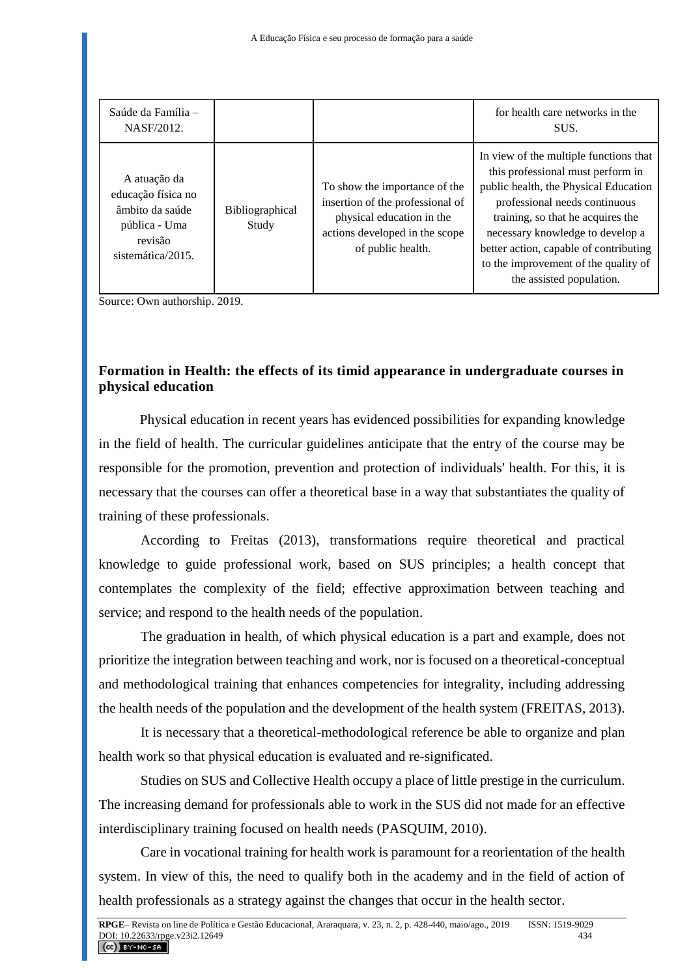| Saúde da Família -<br>NASF/2012.                                                                       |                                 |                                                                                                                                                       | for health care networks in the<br>SUS.                                                                                                                                                                                                                                                                                                      |
|--------------------------------------------------------------------------------------------------------|---------------------------------|-------------------------------------------------------------------------------------------------------------------------------------------------------|----------------------------------------------------------------------------------------------------------------------------------------------------------------------------------------------------------------------------------------------------------------------------------------------------------------------------------------------|
| A atuação da<br>educação física no<br>âmbito da saúde<br>pública - Uma<br>revisão<br>sistemática/2015. | <b>Bibliographical</b><br>Study | To show the importance of the<br>insertion of the professional of<br>physical education in the<br>actions developed in the scope<br>of public health. | In view of the multiple functions that<br>this professional must perform in<br>public health, the Physical Education<br>professional needs continuous<br>training, so that he acquires the<br>necessary knowledge to develop a<br>better action, capable of contributing<br>to the improvement of the quality of<br>the assisted population. |

Source: Own authorship. 2019.

# **Formation in Health: the effects of its timid appearance in undergraduate courses in physical education**

Physical education in recent years has evidenced possibilities for expanding knowledge in the field of health. The curricular guidelines anticipate that the entry of the course may be responsible for the promotion, prevention and protection of individuals' health. For this, it is necessary that the courses can offer a theoretical base in a way that substantiates the quality of training of these professionals.

According to Freitas (2013), transformations require theoretical and practical knowledge to guide professional work, based on SUS principles; a health concept that contemplates the complexity of the field; effective approximation between teaching and service; and respond to the health needs of the population.

The graduation in health, of which physical education is a part and example, does not prioritize the integration between teaching and work, nor is focused on a theoretical-conceptual and methodological training that enhances competencies for integrality, including addressing the health needs of the population and the development of the health system (FREITAS, 2013).

It is necessary that a theoretical-methodological reference be able to organize and plan health work so that physical education is evaluated and re-significated.

Studies on SUS and Collective Health occupy a place of little prestige in the curriculum. The increasing demand for professionals able to work in the SUS did not made for an effective interdisciplinary training focused on health needs (PASQUIM, 2010).

Care in vocational training for health work is paramount for a reorientation of the health system. In view of this, the need to qualify both in the academy and in the field of action of health professionals as a strategy against the changes that occur in the health sector.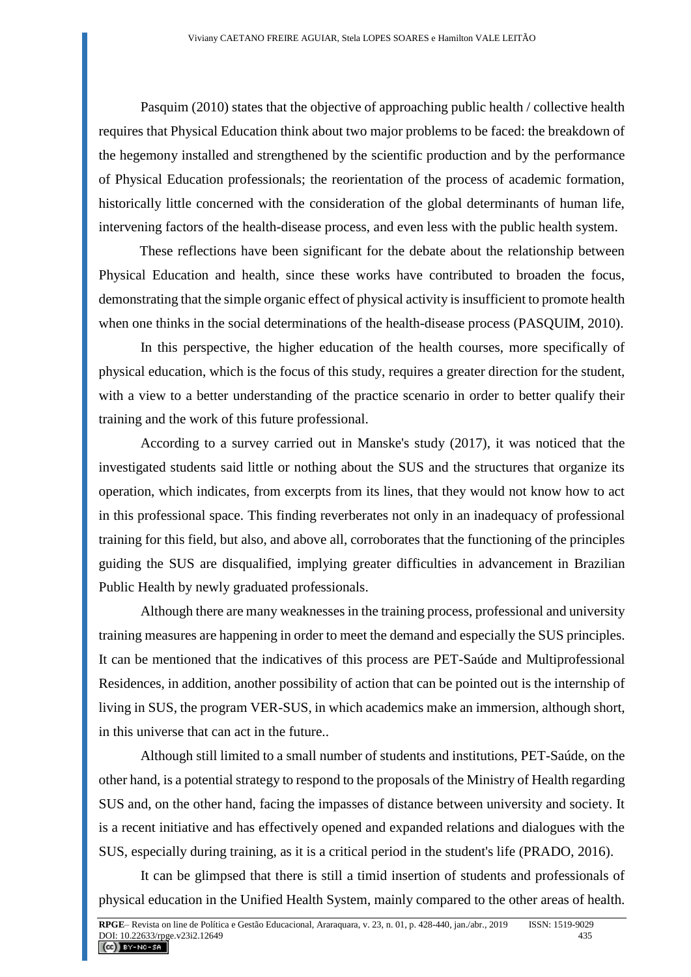Pasquim (2010) states that the objective of approaching public health / collective health requires that Physical Education think about two major problems to be faced: the breakdown of the hegemony installed and strengthened by the scientific production and by the performance of Physical Education professionals; the reorientation of the process of academic formation, historically little concerned with the consideration of the global determinants of human life, intervening factors of the health-disease process, and even less with the public health system.

These reflections have been significant for the debate about the relationship between Physical Education and health, since these works have contributed to broaden the focus, demonstrating that the simple organic effect of physical activity is insufficient to promote health when one thinks in the social determinations of the health-disease process (PASQUIM, 2010).

In this perspective, the higher education of the health courses, more specifically of physical education, which is the focus of this study, requires a greater direction for the student, with a view to a better understanding of the practice scenario in order to better qualify their training and the work of this future professional.

According to a survey carried out in Manske's study (2017), it was noticed that the investigated students said little or nothing about the SUS and the structures that organize its operation, which indicates, from excerpts from its lines, that they would not know how to act in this professional space. This finding reverberates not only in an inadequacy of professional training for this field, but also, and above all, corroborates that the functioning of the principles guiding the SUS are disqualified, implying greater difficulties in advancement in Brazilian Public Health by newly graduated professionals.

Although there are many weaknesses in the training process, professional and university training measures are happening in order to meet the demand and especially the SUS principles. It can be mentioned that the indicatives of this process are PET-Saúde and Multiprofessional Residences, in addition, another possibility of action that can be pointed out is the internship of living in SUS, the program VER-SUS, in which academics make an immersion, although short, in this universe that can act in the future..

Although still limited to a small number of students and institutions, PET-Saúde, on the other hand, is a potential strategy to respond to the proposals of the Ministry of Health regarding SUS and, on the other hand, facing the impasses of distance between university and society. It is a recent initiative and has effectively opened and expanded relations and dialogues with the SUS, especially during training, as it is a critical period in the student's life (PRADO, 2016).

It can be glimpsed that there is still a timid insertion of students and professionals of physical education in the Unified Health System, mainly compared to the other areas of health.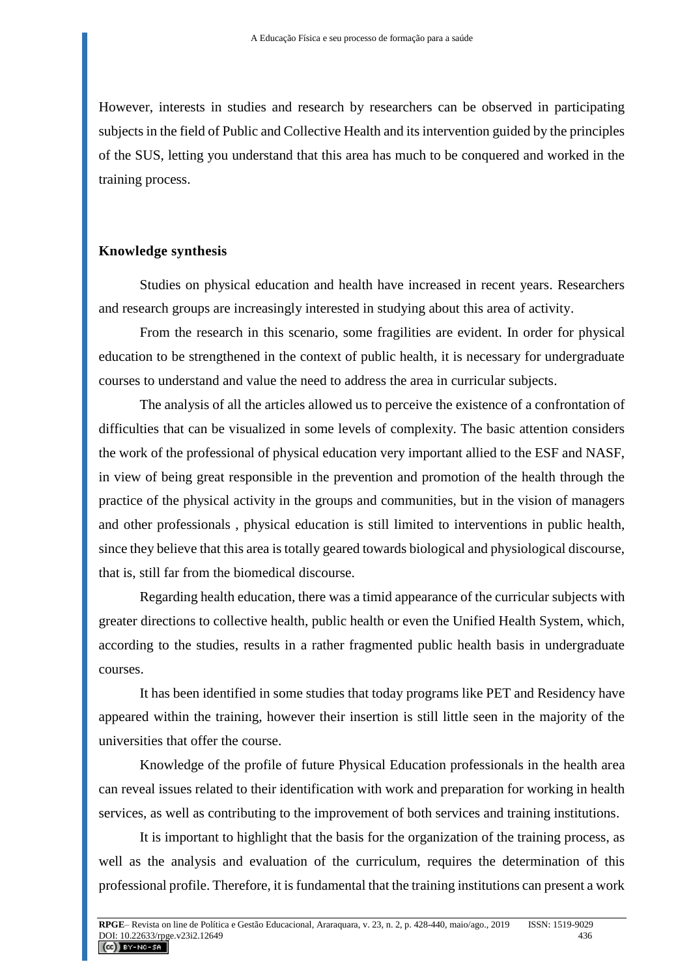However, interests in studies and research by researchers can be observed in participating subjects in the field of Public and Collective Health and its intervention guided by the principles of the SUS, letting you understand that this area has much to be conquered and worked in the training process.

### **Knowledge synthesis**

Studies on physical education and health have increased in recent years. Researchers and research groups are increasingly interested in studying about this area of activity.

From the research in this scenario, some fragilities are evident. In order for physical education to be strengthened in the context of public health, it is necessary for undergraduate courses to understand and value the need to address the area in curricular subjects.

The analysis of all the articles allowed us to perceive the existence of a confrontation of difficulties that can be visualized in some levels of complexity. The basic attention considers the work of the professional of physical education very important allied to the ESF and NASF, in view of being great responsible in the prevention and promotion of the health through the practice of the physical activity in the groups and communities, but in the vision of managers and other professionals , physical education is still limited to interventions in public health, since they believe that this area is totally geared towards biological and physiological discourse, that is, still far from the biomedical discourse.

Regarding health education, there was a timid appearance of the curricular subjects with greater directions to collective health, public health or even the Unified Health System, which, according to the studies, results in a rather fragmented public health basis in undergraduate courses.

It has been identified in some studies that today programs like PET and Residency have appeared within the training, however their insertion is still little seen in the majority of the universities that offer the course.

Knowledge of the profile of future Physical Education professionals in the health area can reveal issues related to their identification with work and preparation for working in health services, as well as contributing to the improvement of both services and training institutions.

It is important to highlight that the basis for the organization of the training process, as well as the analysis and evaluation of the curriculum, requires the determination of this professional profile. Therefore, it is fundamental that the training institutions can present a work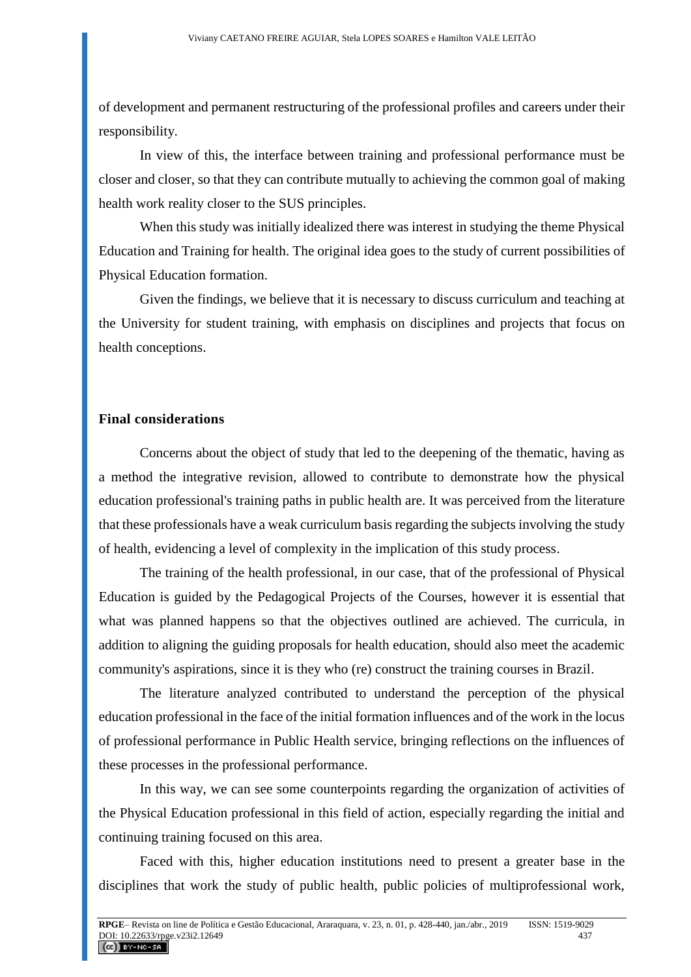of development and permanent restructuring of the professional profiles and careers under their responsibility.

In view of this, the interface between training and professional performance must be closer and closer, so that they can contribute mutually to achieving the common goal of making health work reality closer to the SUS principles.

When this study was initially idealized there was interest in studying the theme Physical Education and Training for health. The original idea goes to the study of current possibilities of Physical Education formation.

Given the findings, we believe that it is necessary to discuss curriculum and teaching at the University for student training, with emphasis on disciplines and projects that focus on health conceptions.

## **Final considerations**

Concerns about the object of study that led to the deepening of the thematic, having as a method the integrative revision, allowed to contribute to demonstrate how the physical education professional's training paths in public health are. It was perceived from the literature that these professionals have a weak curriculum basis regarding the subjects involving the study of health, evidencing a level of complexity in the implication of this study process.

The training of the health professional, in our case, that of the professional of Physical Education is guided by the Pedagogical Projects of the Courses, however it is essential that what was planned happens so that the objectives outlined are achieved. The curricula, in addition to aligning the guiding proposals for health education, should also meet the academic community's aspirations, since it is they who (re) construct the training courses in Brazil.

The literature analyzed contributed to understand the perception of the physical education professional in the face of the initial formation influences and of the work in the locus of professional performance in Public Health service, bringing reflections on the influences of these processes in the professional performance.

In this way, we can see some counterpoints regarding the organization of activities of the Physical Education professional in this field of action, especially regarding the initial and continuing training focused on this area.

Faced with this, higher education institutions need to present a greater base in the disciplines that work the study of public health, public policies of multiprofessional work,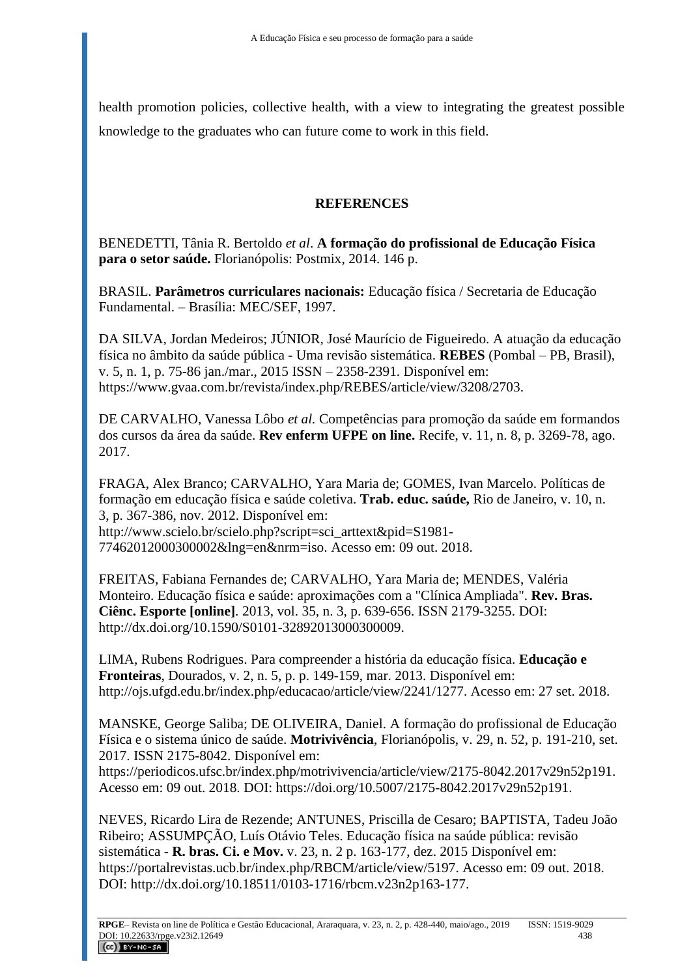health promotion policies, collective health, with a view to integrating the greatest possible knowledge to the graduates who can future come to work in this field.

# **REFERENCES**

BENEDETTI, Tânia R. Bertoldo *et al*. **A formação do profissional de Educação Física para o setor saúde.** Florianópolis: Postmix, 2014. 146 p.

BRASIL. **Parâmetros curriculares nacionais:** Educação física / Secretaria de Educação Fundamental. – Brasília: MEC/SEF, 1997.

DA SILVA, Jordan Medeiros; JÚNIOR, José Maurício de Figueiredo. A atuação da educação física no âmbito da saúde pública - Uma revisão sistemática. **REBES** (Pombal – PB, Brasil), v. 5, n. 1, p. 75-86 jan./mar., 2015 ISSN – 2358-2391. Disponível em: https://www.gvaa.com.br/revista/index.php/REBES/article/view/3208/2703.

DE CARVALHO, Vanessa Lôbo *et al.* Competências para promoção da saúde em formandos dos cursos da área da saúde. **Rev enferm UFPE on line.** Recife, v. 11, n. 8, p. 3269-78, ago. 2017.

FRAGA, Alex Branco; CARVALHO, Yara Maria de; GOMES, Ivan Marcelo. Políticas de formação em educação física e saúde coletiva. **Trab. educ. saúde,** Rio de Janeiro, v. 10, n. 3, p. 367-386, nov. 2012. Disponível em:

http://www.scielo.br/scielo.php?script=sci\_arttext&pid=S1981- 77462012000300002&lng=en&nrm=iso. Acesso em: 09 out. 2018.

FREITAS, Fabiana Fernandes de; CARVALHO, Yara Maria de; MENDES, Valéria Monteiro. Educação física e saúde: aproximações com a "Clínica Ampliada". **Rev. Bras. Ciênc. Esporte [online]**. 2013, vol. 35, n. 3, p. 639-656. ISSN 2179-3255. DOI: http://dx.doi.org/10.1590/S0101-32892013000300009.

LIMA, Rubens Rodrigues. Para compreender a história da educação física. **Educação e Fronteiras**, Dourados, v. 2, n. 5, p. p. 149-159, mar. 2013. Disponível em: http://ojs.ufgd.edu.br/index.php/educacao/article/view/2241/1277. Acesso em: 27 set. 2018.

MANSKE, George Saliba; DE OLIVEIRA, Daniel. A formação do profissional de Educação Física e o sistema único de saúde. **Motrivivência**, Florianópolis, v. 29, n. 52, p. 191-210, set. 2017. ISSN 2175-8042. Disponível em:

https://periodicos.ufsc.br/index.php/motrivivencia/article/view/2175-8042.2017v29n52p191. Acesso em: 09 out. 2018. DOI: [https://doi.org/10.5007/2175-8042.2017v29n52p191.](https://doi.org/10.5007/2175-8042.2017v29n52p191)

NEVES, Ricardo Lira de Rezende; ANTUNES, Priscilla de Cesaro; BAPTISTA, Tadeu João Ribeiro; ASSUMPÇÃO, Luís Otávio Teles. Educação física na saúde pública: revisão sistemática - **R. bras. Ci. e Mov.** v. 23, n. 2 p. 163-177, dez. 2015 Disponível em: [https://portalrevistas.ucb.br/index.php/RBCM/article/view/5197.](https://portalrevistas.ucb.br/index.php/RBCM/article/view/5197) Acesso em: 09 out. 2018. DOI: http://dx.doi.org/10.18511/0103-1716/rbcm.v23n2p163-177.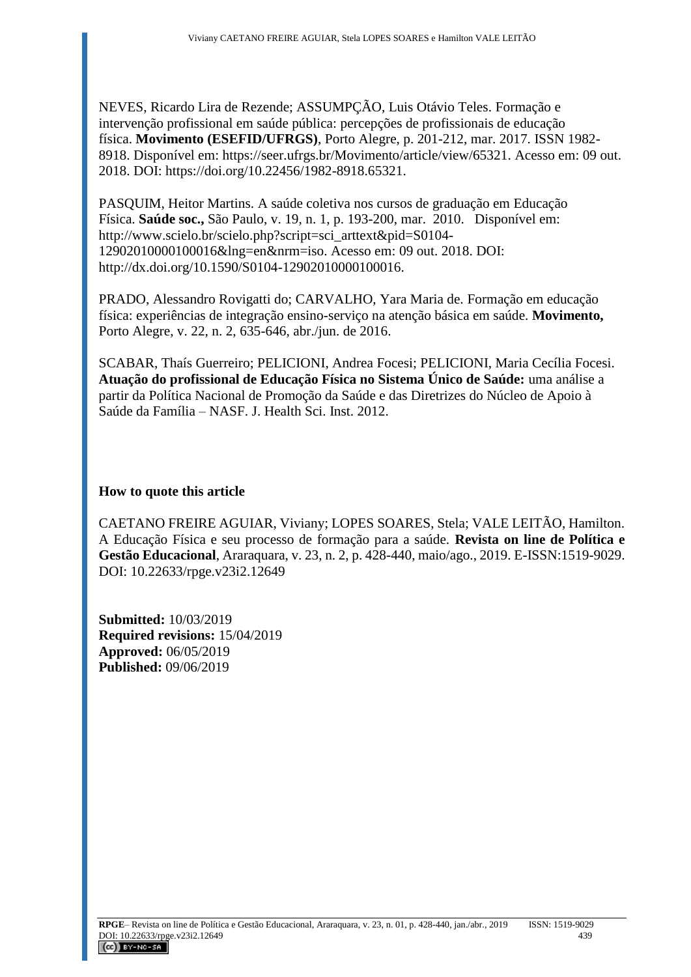NEVES, Ricardo Lira de Rezende; ASSUMPÇÃO, Luis Otávio Teles. Formação e intervenção profissional em saúde pública: percepções de profissionais de educação física. **Movimento (ESEFID/UFRGS)**, Porto Alegre, p. 201-212, mar. 2017. ISSN 1982- 8918. Disponível em: [https://seer.ufrgs.br/Movimento/article/view/65321.](https://seer.ufrgs.br/Movimento/article/view/65321) Acesso em: 09 out. 2018. DOI: [https://doi.org/10.22456/1982-8918.65321.](https://doi.org/10.22456/1982-8918.65321)

PASQUIM, Heitor Martins. A saúde coletiva nos cursos de graduação em Educação Física. **Saúde soc.,** São Paulo, v. 19, n. 1, p. 193-200, mar. 2010. Disponível em: http://www.scielo.br/scielo.php?script=sci\_arttext&pid=S0104- 12902010000100016&lng=en&nrm=iso. Acesso em: 09 out. 2018. DOI: [http://dx.doi.org/10.1590/S0104-12902010000100016.](http://dx.doi.org/10.1590/S0104-12902010000100016)

PRADO, Alessandro Rovigatti do; CARVALHO, Yara Maria de. Formação em educação física: experiências de integração ensino-serviço na atenção básica em saúde. **Movimento,** Porto Alegre, v. 22, n. 2, 635-646, abr./jun. de 2016.

SCABAR, Thaís Guerreiro; PELICIONI, Andrea Focesi; PELICIONI, Maria Cecília Focesi. **Atuação do profissional de Educação Física no Sistema Único de Saúde:** uma análise a partir da Política Nacional de Promoção da Saúde e das Diretrizes do Núcleo de Apoio à Saúde da Família – NASF. J. Health Sci. Inst. 2012.

# **How to quote this article**

CAETANO FREIRE AGUIAR, Viviany; LOPES SOARES, Stela; VALE LEITÃO, Hamilton. A Educação Física e seu processo de formação para a saúde. **Revista on line de Política e Gestão Educacional**, Araraquara, v. 23, n. 2, p. 428-440, maio/ago., 2019. E-ISSN:1519-9029. DOI: 10.22633/rpge.v23i2.12649

**Submitted:** 10/03/2019 **Required revisions:** 15/04/2019 **Approved:** 06/05/2019 **Published:** 09/06/2019